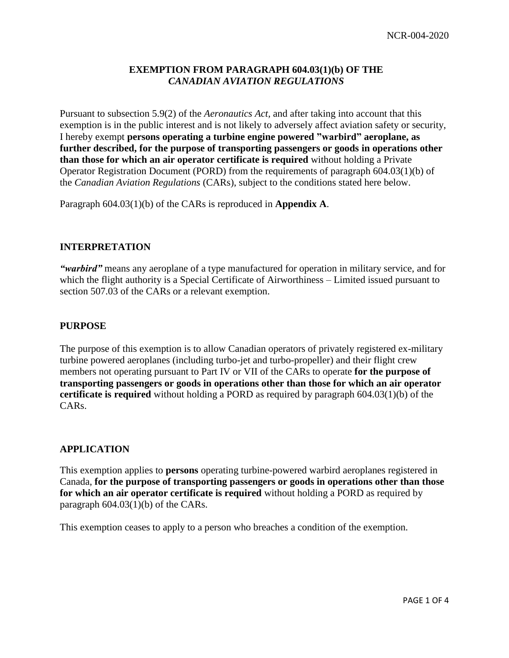# **EXEMPTION FROM PARAGRAPH 604.03(1)(b) OF THE** *CANADIAN AVIATION REGULATIONS*

Pursuant to subsection 5.9(2) of the *Aeronautics Act,* and after taking into account that this exemption is in the public interest and is not likely to adversely affect aviation safety or security, I hereby exempt **persons operating a turbine engine powered "warbird" aeroplane, as further described, for the purpose of transporting passengers or goods in operations other than those for which an air operator certificate is required** without holding a Private Operator Registration Document (PORD) from the requirements of paragraph 604.03(1)(b) of the *Canadian Aviation Regulations* (CARs), subject to the conditions stated here below.

Paragraph 604.03(1)(b) of the CARs is reproduced in **Appendix A**.

### **INTERPRETATION**

*"warbird"* means any aeroplane of a type manufactured for operation in military service, and for which the flight authority is a Special Certificate of Airworthiness – Limited issued pursuant to section 507.03 of the CARs or a relevant exemption.

#### **PURPOSE**

The purpose of this exemption is to allow Canadian operators of privately registered ex-military turbine powered aeroplanes (including turbo-jet and turbo-propeller) and their flight crew members not operating pursuant to Part IV or VII of the CARs to operate **for the purpose of transporting passengers or goods in operations other than those for which an air operator certificate is required** without holding a PORD as required by paragraph 604.03(1)(b) of the CARs.

#### **APPLICATION**

This exemption applies to **persons** operating turbine-powered warbird aeroplanes registered in Canada, **for the purpose of transporting passengers or goods in operations other than those for which an air operator certificate is required** without holding a PORD as required by paragraph 604.03(1)(b) of the CARs.

This exemption ceases to apply to a person who breaches a condition of the exemption.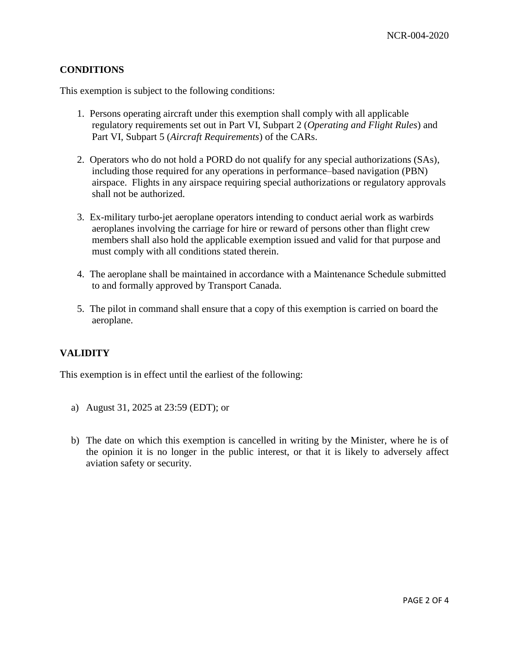# **CONDITIONS**

This exemption is subject to the following conditions:

- 1. Persons operating aircraft under this exemption shall comply with all applicable regulatory requirements set out in Part VI, Subpart 2 (*Operating and Flight Rules*) and Part VI, Subpart 5 (*Aircraft Requirements*) of the CARs.
- 2. Operators who do not hold a PORD do not qualify for any special authorizations (SAs), including those required for any operations in performance–based navigation (PBN) airspace. Flights in any airspace requiring special authorizations or regulatory approvals shall not be authorized.
- 3. Ex-military turbo-jet aeroplane operators intending to conduct aerial work as warbirds aeroplanes involving the carriage for hire or reward of persons other than flight crew members shall also hold the applicable exemption issued and valid for that purpose and must comply with all conditions stated therein.
- 4. The aeroplane shall be maintained in accordance with a Maintenance Schedule submitted to and formally approved by Transport Canada.
- 5. The pilot in command shall ensure that a copy of this exemption is carried on board the aeroplane.

### **VALIDITY**

This exemption is in effect until the earliest of the following:

- a) August 31, 2025 at 23:59 (EDT); or
- b) The date on which this exemption is cancelled in writing by the Minister, where he is of the opinion it is no longer in the public interest, or that it is likely to adversely affect aviation safety or security.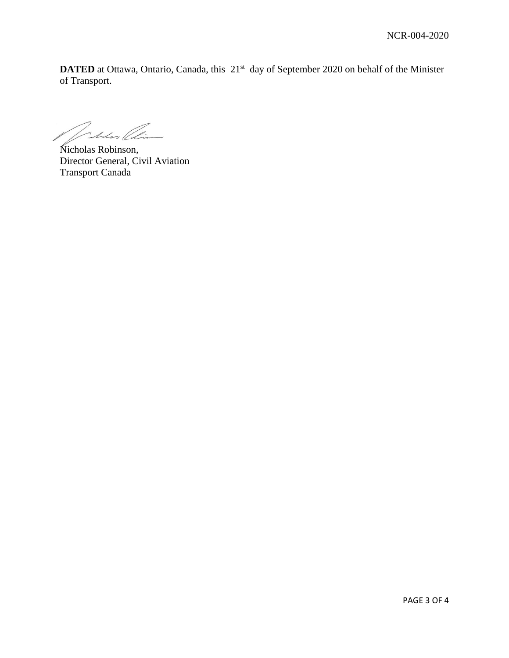**DATED** at Ottawa, Ontario, Canada, this 21<sup>st</sup> day of September 2020 on behalf of the Minister of Transport.

Jakhos (li

Nicholas Robinson, Director General, Civil Aviation Transport Canada